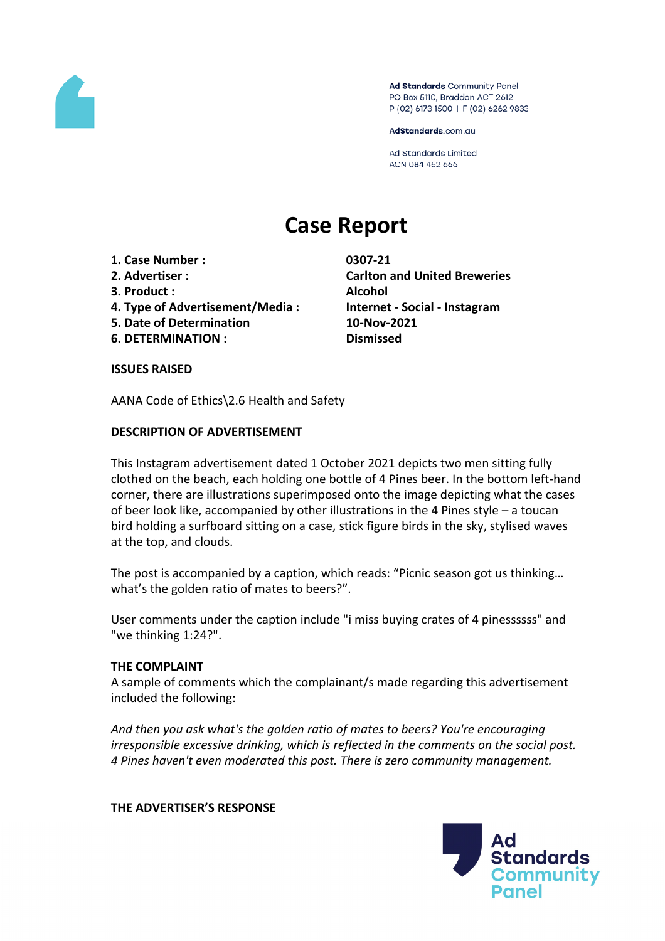

Ad Standards Community Panel PO Box 5110, Braddon ACT 2612 P (02) 6173 1500 | F (02) 6262 9833

AdStandards.com.au

**Ad Standards Limited** ACN 084 452 666

# **Case Report**

- **1. Case Number : 0307-21**
- 
- **3. Product : Alcohol**
- **4. Type of Advertisement/Media : Internet - Social - Instagram**
- **5. Date of Determination 10-Nov-2021**
- **6. DETERMINATION : Dismissed**

**2. Advertiser : Carlton and United Breweries**

#### **ISSUES RAISED**

AANA Code of Ethics\2.6 Health and Safety

## **DESCRIPTION OF ADVERTISEMENT**

This Instagram advertisement dated 1 October 2021 depicts two men sitting fully clothed on the beach, each holding one bottle of 4 Pines beer. In the bottom left-hand corner, there are illustrations superimposed onto the image depicting what the cases of beer look like, accompanied by other illustrations in the 4 Pines style – a toucan bird holding a surfboard sitting on a case, stick figure birds in the sky, stylised waves at the top, and clouds.

The post is accompanied by a caption, which reads: "Picnic season got us thinking… what's the golden ratio of mates to beers?".

User comments under the caption include "i miss buying crates of 4 pinessssss" and "we thinking 1:24?".

## **THE COMPLAINT**

A sample of comments which the complainant/s made regarding this advertisement included the following:

*And then you ask what's the golden ratio of mates to beers? You're encouraging irresponsible excessive drinking, which is reflected in the comments on the social post. 4 Pines haven't even moderated this post. There is zero community management.*

## **THE ADVERTISER'S RESPONSE**

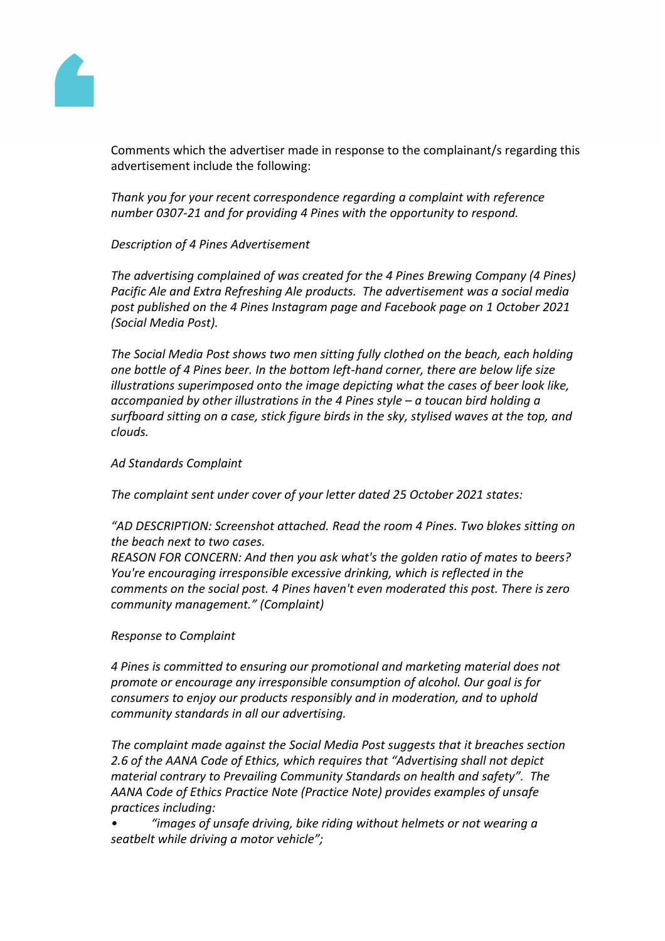

Comments which the advertiser made in response to the complainant/s regarding this advertisement include the following:

*Thank you for your recent correspondence regarding a complaint with reference number 0307-21 and for providing 4 Pines with the opportunity to respond.*

## *Description of 4 Pines Advertisement*

*The advertising complained of was created for the 4 Pines Brewing Company (4 Pines) Pacific Ale and Extra Refreshing Ale products. The advertisement was a social media post published on the 4 Pines Instagram page and Facebook page on 1 October 2021 (Social Media Post).*

*The Social Media Post shows two men sitting fully clothed on the beach, each holding one bottle of 4 Pines beer. In the bottom left-hand corner, there are below life size illustrations superimposed onto the image depicting what the cases of beer look like, accompanied by other illustrations in the 4 Pines style – a toucan bird holding a surfboard sitting on a case, stick figure birds in the sky, stylised waves at the top, and clouds.*

#### *Ad Standards Complaint*

*The complaint sent under cover of your letter dated 25 October 2021 states:*

*"AD DESCRIPTION: Screenshot attached. Read the room 4 Pines. Two blokes sitting on the beach next to two cases.*

*REASON FOR CONCERN: And then you ask what's the golden ratio of mates to beers? You're encouraging irresponsible excessive drinking, which is reflected in the comments on the social post. 4 Pines haven't even moderated this post. There is zero community management." (Complaint)*

*Response to Complaint*

*4 Pines is committed to ensuring our promotional and marketing material does not promote or encourage any irresponsible consumption of alcohol. Our goal is for consumers to enjoy our products responsibly and in moderation, and to uphold community standards in all our advertising.*

*The complaint made against the Social Media Post suggests that it breaches section 2.6 of the AANA Code of Ethics, which requires that "Advertising shall not depict material contrary to Prevailing Community Standards on health and safety". The AANA Code of Ethics Practice Note (Practice Note) provides examples of unsafe practices including:*

*• "images of unsafe driving, bike riding without helmets or not wearing a seatbelt while driving a motor vehicle";*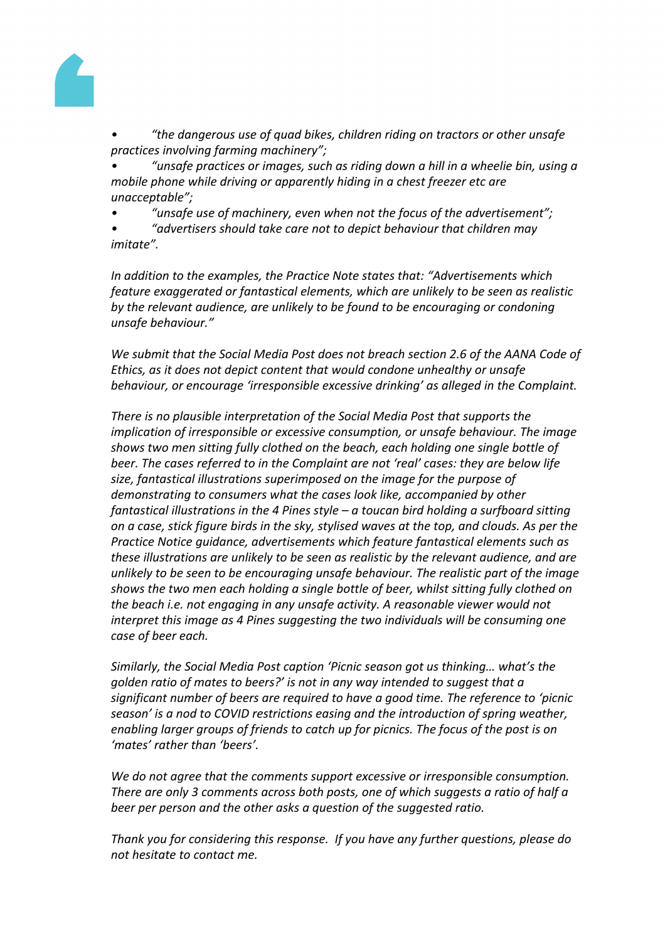

*• "the dangerous use of quad bikes, children riding on tractors or other unsafe practices involving farming machinery";*

*• "unsafe practices or images, such as riding down a hill in a wheelie bin, using a mobile phone while driving or apparently hiding in a chest freezer etc are unacceptable";*

*• "unsafe use of machinery, even when not the focus of the advertisement";*

*• "advertisers should take care not to depict behaviour that children may imitate".*

*In addition to the examples, the Practice Note states that: "Advertisements which feature exaggerated or fantastical elements, which are unlikely to be seen as realistic by the relevant audience, are unlikely to be found to be encouraging or condoning unsafe behaviour."*

*We submit that the Social Media Post does not breach section 2.6 of the AANA Code of Ethics, as it does not depict content that would condone unhealthy or unsafe behaviour, or encourage 'irresponsible excessive drinking' as alleged in the Complaint.* 

*There is no plausible interpretation of the Social Media Post that supports the implication of irresponsible or excessive consumption, or unsafe behaviour. The image shows two men sitting fully clothed on the beach, each holding one single bottle of beer. The cases referred to in the Complaint are not 'real' cases: they are below life size, fantastical illustrations superimposed on the image for the purpose of demonstrating to consumers what the cases look like, accompanied by other fantastical illustrations in the 4 Pines style – a toucan bird holding a surfboard sitting on a case, stick figure birds in the sky, stylised waves at the top, and clouds. As per the Practice Notice guidance, advertisements which feature fantastical elements such as these illustrations are unlikely to be seen as realistic by the relevant audience, and are unlikely to be seen to be encouraging unsafe behaviour. The realistic part of the image shows the two men each holding a single bottle of beer, whilst sitting fully clothed on the beach i.e. not engaging in any unsafe activity. A reasonable viewer would not interpret this image as 4 Pines suggesting the two individuals will be consuming one case of beer each.*

*Similarly, the Social Media Post caption 'Picnic season got us thinking… what's the golden ratio of mates to beers?' is not in any way intended to suggest that a significant number of beers are required to have a good time. The reference to 'picnic season' is a nod to COVID restrictions easing and the introduction of spring weather, enabling larger groups of friends to catch up for picnics. The focus of the post is on 'mates' rather than 'beers'.*

*We do not agree that the comments support excessive or irresponsible consumption. There are only 3 comments across both posts, one of which suggests a ratio of half a beer per person and the other asks a question of the suggested ratio.*

*Thank you for considering this response. If you have any further questions, please do not hesitate to contact me.*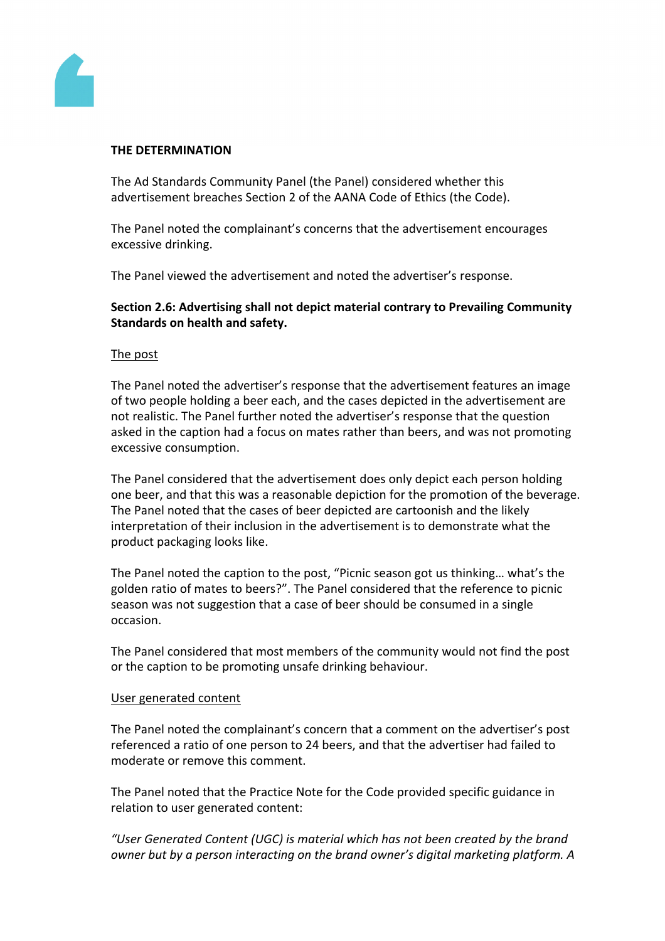

## **THE DETERMINATION**

The Ad Standards Community Panel (the Panel) considered whether this advertisement breaches Section 2 of the AANA Code of Ethics (the Code).

The Panel noted the complainant's concerns that the advertisement encourages excessive drinking.

The Panel viewed the advertisement and noted the advertiser's response.

# **Section 2.6: Advertising shall not depict material contrary to Prevailing Community Standards on health and safety.**

## The post

The Panel noted the advertiser's response that the advertisement features an image of two people holding a beer each, and the cases depicted in the advertisement are not realistic. The Panel further noted the advertiser's response that the question asked in the caption had a focus on mates rather than beers, and was not promoting excessive consumption.

The Panel considered that the advertisement does only depict each person holding one beer, and that this was a reasonable depiction for the promotion of the beverage. The Panel noted that the cases of beer depicted are cartoonish and the likely interpretation of their inclusion in the advertisement is to demonstrate what the product packaging looks like.

The Panel noted the caption to the post, "Picnic season got us thinking… what's the golden ratio of mates to beers?". The Panel considered that the reference to picnic season was not suggestion that a case of beer should be consumed in a single occasion.

The Panel considered that most members of the community would not find the post or the caption to be promoting unsafe drinking behaviour.

## User generated content

The Panel noted the complainant's concern that a comment on the advertiser's post referenced a ratio of one person to 24 beers, and that the advertiser had failed to moderate or remove this comment.

The Panel noted that the Practice Note for the Code provided specific guidance in relation to user generated content:

*"User Generated Content (UGC) is material which has not been created by the brand owner but by a person interacting on the brand owner's digital marketing platform. A*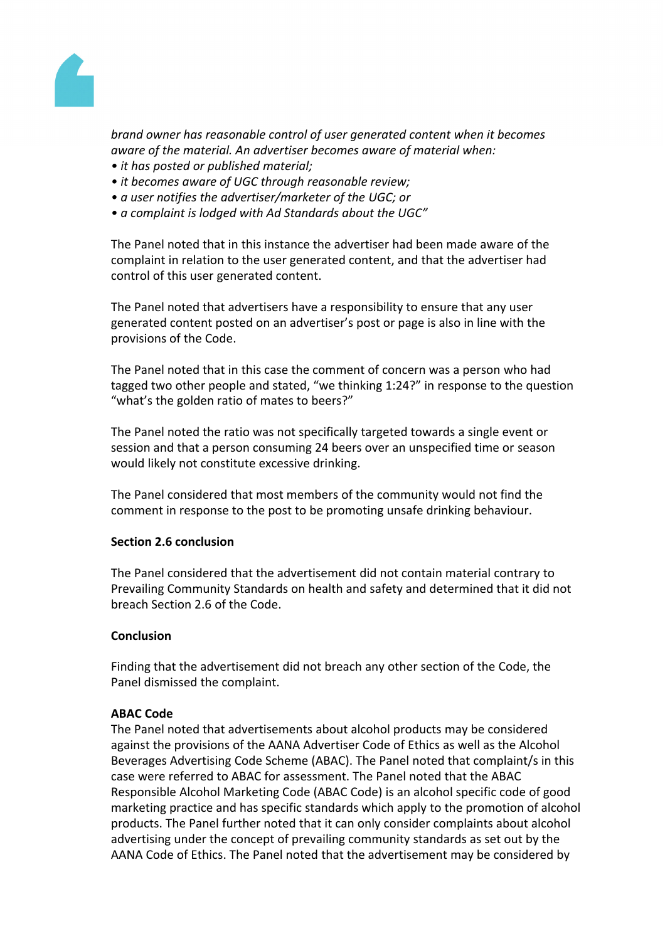

*brand owner has reasonable control of user generated content when it becomes aware of the material. An advertiser becomes aware of material when:*

- *• it has posted or published material;*
- *• it becomes aware of UGC through reasonable review;*
- *• a user notifies the advertiser/marketer of the UGC; or*
- *• a complaint is lodged with Ad Standards about the UGC"*

The Panel noted that in this instance the advertiser had been made aware of the complaint in relation to the user generated content, and that the advertiser had control of this user generated content.

The Panel noted that advertisers have a responsibility to ensure that any user generated content posted on an advertiser's post or page is also in line with the provisions of the Code.

The Panel noted that in this case the comment of concern was a person who had tagged two other people and stated, "we thinking 1:24?" in response to the question "what's the golden ratio of mates to beers?"

The Panel noted the ratio was not specifically targeted towards a single event or session and that a person consuming 24 beers over an unspecified time or season would likely not constitute excessive drinking.

The Panel considered that most members of the community would not find the comment in response to the post to be promoting unsafe drinking behaviour.

## **Section 2.6 conclusion**

The Panel considered that the advertisement did not contain material contrary to Prevailing Community Standards on health and safety and determined that it did not breach Section 2.6 of the Code.

## **Conclusion**

Finding that the advertisement did not breach any other section of the Code, the Panel dismissed the complaint.

#### **ABAC Code**

The Panel noted that advertisements about alcohol products may be considered against the provisions of the AANA Advertiser Code of Ethics as well as the Alcohol Beverages Advertising Code Scheme (ABAC). The Panel noted that complaint/s in this case were referred to ABAC for assessment. The Panel noted that the ABAC Responsible Alcohol Marketing Code (ABAC Code) is an alcohol specific code of good marketing practice and has specific standards which apply to the promotion of alcohol products. The Panel further noted that it can only consider complaints about alcohol advertising under the concept of prevailing community standards as set out by the AANA Code of Ethics. The Panel noted that the advertisement may be considered by